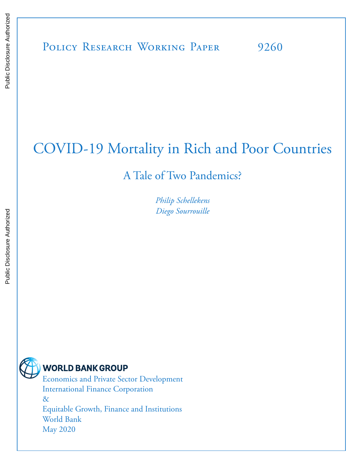# COVID-19 Mortality in Rich and Poor Countries

A Tale of Two Pandemics?

*Philip Schellekens Diego Sourrouille*



## **WORLD BANK GROUP**

Economics and Private Sector Development International Finance Corporation & Equitable Growth, Finance and Institutions World Bank May 2020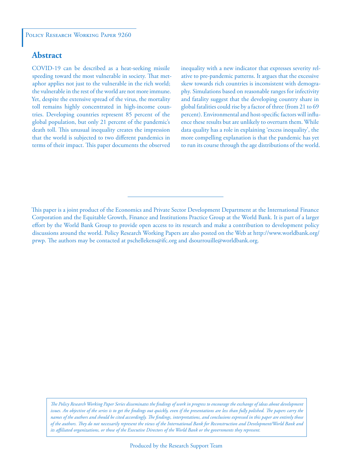#### **Abstract**

COVID-19 can be described as a heat-seeking missile speeding toward the most vulnerable in society. That metaphor applies not just to the vulnerable in the rich world; the vulnerable in the rest of the world are not more immune. Yet, despite the extensive spread of the virus, the mortality toll remains highly concentrated in high-income countries. Developing countries represent 85 percent of the global population, but only 21 percent of the pandemic's death toll. This unusual inequality creates the impression that the world is subjected to two different pandemics in terms of their impact. This paper documents the observed

inequality with a new indicator that expresses severity relative to pre-pandemic patterns. It argues that the excessive skew towards rich countries is inconsistent with demography. Simulations based on reasonable ranges for infectivity and fatality suggest that the developing country share in global fatalities could rise by a factor of three (from 21 to 69 percent). Environmental and host-specific factors will influence these results but are unlikely to overturn them. While data quality has a role in explaining 'excess inequality', the more compelling explanation is that the pandemic has yet to run its course through the age distributions of the world.

*The Policy Research Working Paper Series disseminates the findings of work in progress to encourage the exchange of ideas about development*  issues. An objective of the series is to get the findings out quickly, even if the presentations are less than fully polished. The papers carry the *names of the authors and should be cited accordingly. The findings, interpretations, and conclusions expressed in this paper are entirely those of the authors. They do not necessarily represent the views of the International Bank for Reconstruction and Development/World Bank and its affiliated organizations, or those of the Executive Directors of the World Bank or the governments they represent.*

This paper is a joint product of the Economics and Private Sector Development Department at the International Finance Corporation and the Equitable Growth, Finance and Institutions Practice Group at the World Bank. It is part of a larger effort by the World Bank Group to provide open access to its research and make a contribution to development policy discussions around the world. Policy Research Working Papers are also posted on the Web at http://www.worldbank.org/ prwp. The authors may be contacted at pschellekens@ifc.org and dsourrouille@worldbank.org.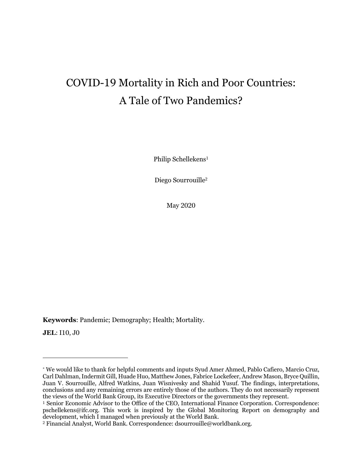## COVID-19 Mortality in Rich and Poor Countries: A Tale of Two Pandemics?

Philip Schellekens<sup>1</sup>

Diego Sourrouille2

May 2020

**Keywords**: Pandemic; Demography; Health; Mortality.

**JEL**: I10, J0

<sup>\*</sup> We would like to thank for helpful comments and inputs Syud Amer Ahmed, Pablo Cafiero, Marcio Cruz, Carl Dahlman, Indermit Gill, Huade Huo, Matthew Jones, Fabrice Lockefeer, Andrew Mason, Bryce Quillin, Juan V. Sourrouille, Alfred Watkins, Juan Wisnivesky and Shahid Yusuf. The findings, interpretations, conclusions and any remaining errors are entirely those of the authors. They do not necessarily represent the views of the World Bank Group, its Executive Directors or the governments they represent.

<sup>1</sup> Senior Economic Advisor to the Office of the CEO, International Finance Corporation. Correspondence: pschellekens@ifc.org. This work is inspired by the Global Monitoring Report on demography and development, which I managed when previously at the World Bank.

<sup>2</sup> Financial Analyst, World Bank. Correspondence: dsourrouille@worldbank.org.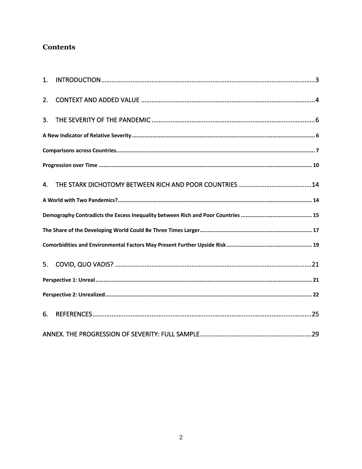## **Contents**

| 1. |  |  |  |  |  |
|----|--|--|--|--|--|
| 2. |  |  |  |  |  |
| 3. |  |  |  |  |  |
|    |  |  |  |  |  |
|    |  |  |  |  |  |
|    |  |  |  |  |  |
| 4. |  |  |  |  |  |
|    |  |  |  |  |  |
|    |  |  |  |  |  |
|    |  |  |  |  |  |
|    |  |  |  |  |  |
| 5. |  |  |  |  |  |
|    |  |  |  |  |  |
|    |  |  |  |  |  |
| 6. |  |  |  |  |  |
|    |  |  |  |  |  |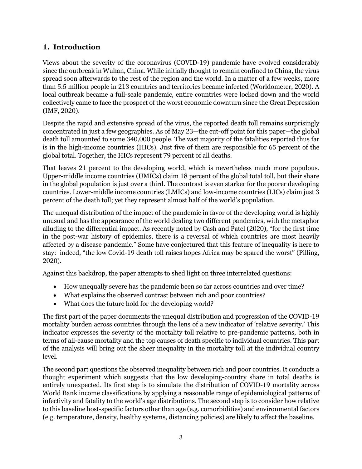#### **1. Introduction**

Views about the severity of the coronavirus (COVID-19) pandemic have evolved considerably since the outbreak in Wuhan, China. While initially thought to remain confined to China, the virus spread soon afterwards to the rest of the region and the world. In a matter of a few weeks, more than 5.5 million people in 213 countries and territories became infected (Worldometer, 2020). A local outbreak became a full-scale pandemic, entire countries were locked down and the world collectively came to face the prospect of the worst economic downturn since the Great Depression (IMF, 2020).

Despite the rapid and extensive spread of the virus, the reported death toll remains surprisingly concentrated in just a few geographies. As of May 23—the cut-off point for this paper—the global death toll amounted to some 340,000 people. The vast majority of the fatalities reported thus far is in the high-income countries (HICs). Just five of them are responsible for 65 percent of the global total. Together, the HICs represent 79 percent of all deaths.

That leaves 21 percent to the developing world, which is nevertheless much more populous. Upper-middle income countries (UMICs) claim 18 percent of the global total toll, but their share in the global population is just over a third. The contrast is even starker for the poorer developing countries. Lower-middle income countries (LMICs) and low-income countries (LICs) claim just 3 percent of the death toll; yet they represent almost half of the world's population.

The unequal distribution of the impact of the pandemic in favor of the developing world is highly unusual and has the appearance of the world dealing two different pandemics, with the metaphor alluding to the differential impact. As recently noted by Cash and Patel (2020), "for the first time in the post-war history of epidemics, there is a reversal of which countries are most heavily affected by a disease pandemic." Some have conjectured that this feature of inequality is here to stay: indeed, "the low Covid-19 death toll raises hopes Africa may be spared the worst" (Pilling, 2020).

Against this backdrop, the paper attempts to shed light on three interrelated questions:

- How unequally severe has the pandemic been so far across countries and over time?
- What explains the observed contrast between rich and poor countries?
- What does the future hold for the developing world?

The first part of the paper documents the unequal distribution and progression of the COVID-19 mortality burden across countries through the lens of a new indicator of 'relative severity.' This indicator expresses the severity of the mortality toll relative to pre-pandemic patterns, both in terms of all-cause mortality and the top causes of death specific to individual countries. This part of the analysis will bring out the sheer inequality in the mortality toll at the individual country level.

The second part questions the observed inequality between rich and poor countries. It conducts a thought experiment which suggests that the low developing-country share in total deaths is entirely unexpected. Its first step is to simulate the distribution of COVID-19 mortality across World Bank income classifications by applying a reasonable range of epidemiological patterns of infectivity and fatality to the world's age distributions. The second step is to consider how relative to this baseline host-specific factors other than age (e.g. comorbidities) and environmental factors (e.g. temperature, density, healthy systems, distancing policies) are likely to affect the baseline.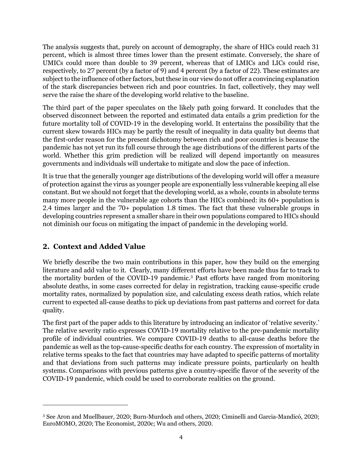The analysis suggests that, purely on account of demography, the share of HICs could reach 31 percent, which is almost three times lower than the present estimate. Conversely, the share of UMICs could more than double to 39 percent, whereas that of LMICs and LICs could rise, respectively, to 27 percent (by a factor of 9) and 4 percent (by a factor of 22). These estimates are subject to the influence of other factors, but these in our view do not offer a convincing explanation of the stark discrepancies between rich and poor countries. In fact, collectively, they may well serve the raise the share of the developing world relative to the baseline.

The third part of the paper speculates on the likely path going forward. It concludes that the observed disconnect between the reported and estimated data entails a grim prediction for the future mortality toll of COVID-19 in the developing world. It entertains the possibility that the current skew towards HICs may be partly the result of inequality in data quality but deems that the first-order reason for the present dichotomy between rich and poor countries is because the pandemic has not yet run its full course through the age distributions of the different parts of the world. Whether this grim prediction will be realized will depend importantly on measures governments and individuals will undertake to mitigate and slow the pace of infection.

It is true that the generally younger age distributions of the developing world will offer a measure of protection against the virus as younger people are exponentially less vulnerable keeping all else constant. But we should not forget that the developing world, as a whole, counts in absolute terms many more people in the vulnerable age cohorts than the HICs combined: its 60+ population is 2.4 times larger and the 70+ population 1.8 times. The fact that these vulnerable groups in developing countries represent a smaller share in their own populations compared to HICs should not diminish our focus on mitigating the impact of pandemic in the developing world.

### **2. Context and Added Value**

We briefly describe the two main contributions in this paper, how they build on the emerging literature and add value to it. Clearly, many different efforts have been made thus far to track to the mortality burden of the COVID-19 pandemic. <sup>3</sup> Past efforts have ranged from monitoring absolute deaths, in some cases corrected for delay in registration, tracking cause-specific crude mortality rates, normalized by population size, and calculating excess death ratios, which relate current to expected all-cause deaths to pick up deviations from past patterns and correct for data quality.

The first part of the paper adds to this literature by introducing an indicator of 'relative severity.' The relative severity ratio expresses COVID-19 mortality relative to the pre-pandemic mortality profile of individual countries. We compare COVID-19 deaths to all-cause deaths before the pandemic as well as the top-cause-specific deaths for each country. The expression of mortality in relative terms speaks to the fact that countries may have adapted to specific patterns of mortality and that deviations from such patterns may indicate pressure points, particularly on health systems. Comparisons with previous patterns give a country-specific flavor of the severity of the COVID-19 pandemic, which could be used to corroborate realities on the ground.

<sup>3</sup> See Aron and Muellbauer, 2020; Burn-Murdoch and others, 2020; Ciminelli and Garcia-Mandicó, 2020; EuroMOMO, 2020; The Economist, 2020c; Wu and others, 2020.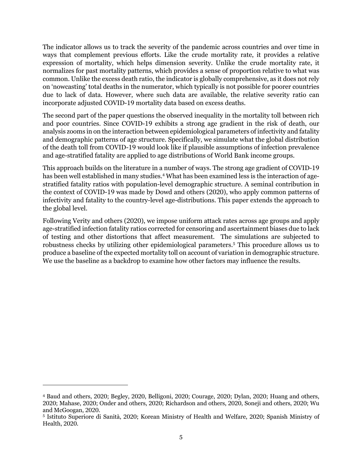The indicator allows us to track the severity of the pandemic across countries and over time in ways that complement previous efforts. Like the crude mortality rate, it provides a relative expression of mortality, which helps dimension severity. Unlike the crude mortality rate, it normalizes for past mortality patterns, which provides a sense of proportion relative to what was common. Unlike the excess death ratio, the indicator is globally comprehensive, as it does not rely on 'nowcasting' total deaths in the numerator, which typically is not possible for poorer countries due to lack of data. However, where such data are available, the relative severity ratio can incorporate adjusted COVID-19 mortality data based on excess deaths.

The second part of the paper questions the observed inequality in the mortality toll between rich and poor countries. Since COVID-19 exhibits a strong age gradient in the risk of death, our analysis zooms in on the interaction between epidemiological parameters of infectivity and fatality and demographic patterns of age structure. Specifically, we simulate what the global distribution of the death toll from COVID-19 would look like if plausible assumptions of infection prevalence and age-stratified fatality are applied to age distributions of World Bank income groups.

This approach builds on the literature in a number of ways. The strong age gradient of COVID-19 has been well established in many studies. <sup>4</sup> What has been examined less is the interaction of agestratified fatality ratios with population-level demographic structure. A seminal contribution in the context of COVID-19 was made by Dowd and others (2020), who apply common patterns of infectivity and fatality to the country-level age-distributions. This paper extends the approach to the global level.

Following Verity and others (2020), we impose uniform attack rates across age groups and apply age-stratified infection fatality ratios corrected for censoring and ascertainment biases due to lack of testing and other distortions that affect measurement. The simulations are subjected to robustness checks by utilizing other epidemiological parameters. <sup>5</sup> This procedure allows us to produce a baseline of the expected mortality toll on account of variation in demographic structure. We use the baseline as a backdrop to examine how other factors may influence the results.

<sup>4</sup> Baud and others, 2020; Begley, 2020, Belligoni, 2020; Courage, 2020; Dylan, 2020; Huang and others, 2020; Mahase, 2020; Onder and others, 2020; Richardson and others, 2020, Soneji and others, 2020; Wu and McGoogan, 2020.

<sup>5</sup> Istituto Superiore di Sanità, 2020; Korean Ministry of Health and Welfare, 2020; Spanish Ministry of Health, 2020.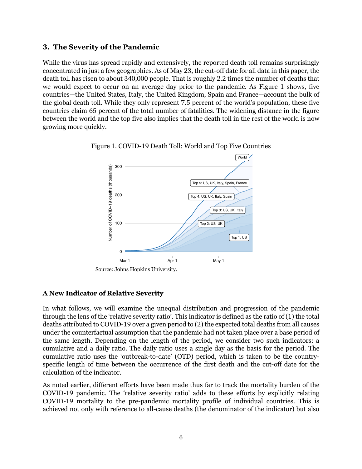#### **3. The Severity of the Pandemic**

While the virus has spread rapidly and extensively, the reported death toll remains surprisingly concentrated in just a few geographies. As of May 23, the cut-off date for all data in this paper, the death toll has risen to about 340,000 people. That is roughly 2.2 times the number of deaths that we would expect to occur on an average day prior to the pandemic. As Figure 1 shows, five countries—the United States, Italy, the United Kingdom, Spain and France—account the bulk of the global death toll. While they only represent 7.5 percent of the world's population, these five countries claim 65 percent of the total number of fatalities. The widening distance in the figure between the world and the top five also implies that the death toll in the rest of the world is now growing more quickly.





Source: Johns Hopkins University.

#### **A New Indicator of Relative Severity**

In what follows, we will examine the unequal distribution and progression of the pandemic through the lens of the 'relative severity ratio'. This indicator is defined as the ratio of (1) the total deaths attributed to COVID-19 over a given period to (2) the expected total deaths from all causes under the counterfactual assumption that the pandemic had not taken place over a base period of the same length. Depending on the length of the period, we consider two such indicators: a cumulative and a daily ratio. The daily ratio uses a single day as the basis for the period. The cumulative ratio uses the 'outbreak-to-date' (OTD) period, which is taken to be the countryspecific length of time between the occurrence of the first death and the cut-off date for the calculation of the indicator.

As noted earlier, different efforts have been made thus far to track the mortality burden of the COVID-19 pandemic. The 'relative severity ratio' adds to these efforts by explicitly relating COVID-19 mortality to the pre-pandemic mortality profile of individual countries. This is achieved not only with reference to all-cause deaths (the denominator of the indicator) but also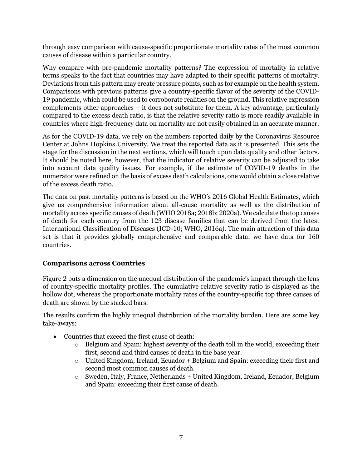through easy comparison with cause-specific proportionate mortality rates of the most common causes of disease within a particular country.

Why compare with pre-pandemic mortality patterns? The expression of mortality in relative terms speaks to the fact that countries may have adapted to their specific patterns of mortality. Deviations from this pattern may create pressure points, such as for example on the health system. Comparisons with previous patterns give a country-specific flavor of the severity of the COVID-19 pandemic, which could be used to corroborate realities on the ground. This relative expression complements other approaches – it does not substitute for them. A key advantage, particularly compared to the excess death ratio, is that the relative severity ratio is more readily available in countries where high-frequency data on mortality are not easily obtained in an accurate manner.

As for the COVID-19 data, we rely on the numbers reported daily by the Coronavirus Resource Center at Johns Hopkins University. We treat the reported data as it is presented. This sets the stage for the discussion in the next sections, which will touch upon data quality and other factors. It should be noted here, however, that the indicator of relative severity can be adjusted to take into account data quality issues. For example, if the estimate of COVID-19 deaths in the numerator were refined on the basis of excess death calculations, one would obtain a close relative of the excess death ratio.

The data on past mortality patterns is based on the WHO's 2016 Global Health Estimates, which give us comprehensive information about all-cause mortality as well as the distribution of mortality across specific causes of death (WHO 2018a; 2018b; 2020a). We calculate the top causes of death for each country from the 123 disease families that can be derived from the latest International Classification of Diseases (ICD-10; WHO, 2016a). The main attraction of this data set is that it provides globally comprehensive and comparable data: we have data for 160 countries.

#### **Comparisons across Countries**

Figure 2 puts a dimension on the unequal distribution of the pandemic's impact through the lens of country-specific mortality profiles. The cumulative relative severity ratio is displayed as the hollow dot, whereas the proportionate mortality rates of the country-specific top three causes of death are shown by the stacked bars.

The results confirm the highly unequal distribution of the mortality burden. Here are some key take-aways:

- Countries that exceed the first cause of death:
	- o Belgium and Spain: highest severity of the death toll in the world, exceeding their first, second and third causes of death in the base year.
	- o United Kingdom, Ireland, Ecuador + Belgium and Spain: exceeding their first and second most common causes of death.
	- o Sweden, Italy, France, Netherlands + United Kingdom, Ireland, Ecuador, Belgium and Spain: exceeding their first cause of death.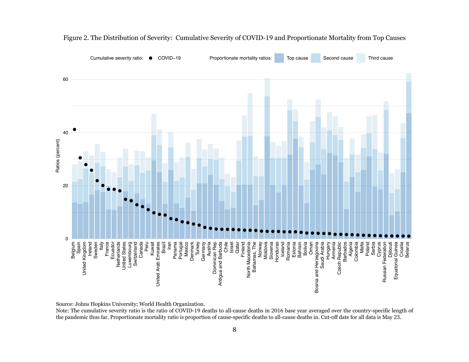

Figure 2. The Distribution of Severity: Cumulative Severity of COVID-19 and Proportionate Mortality from Top Causes

Source: Johns Hopkins University; World Health Organization.

Note: The cumulative severity ratio is the ratio of COVID-19 deaths to all-cause deaths in 2016 base year averaged over the country-specific length of the pandemic thus far. Proportionate mortality ratio is proportion of cause-specific deaths to all-cause deaths in. Cut-off date for all data is May 23.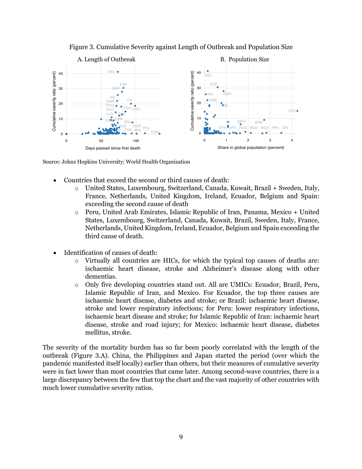

Figure 3. Cumulative Severity against Length of Outbreak and Population Size

Source: Johns Hopkins University; World Health Organization

- Countries that exceed the second or third causes of death:
	- o United States, Luxembourg, Switzerland, Canada, Kuwait, Brazil + Sweden, Italy, France, Netherlands, United Kingdom, Ireland, Ecuador, Belgium and Spain: exceeding the second cause of death
	- o Peru, United Arab Emirates, Islamic Republic of Iran, Panama, Mexico + United States, Luxembourg, Switzerland, Canada, Kuwait, Brazil, Sweden, Italy, France, Netherlands, United Kingdom, Ireland, Ecuador, Belgium and Spain exceeding the third cause of death.
- Identification of causes of death:
	- o Virtually all countries are HICs, for which the typical top causes of deaths are: ischaemic heart disease, stroke and Alzheimer's disease along with other dementias.
	- o Only five developing countries stand out. All are UMICs: Ecuador, Brazil, Peru, Islamic Republic of Iran, and Mexico. For Ecuador, the top three causes are ischaemic heart disease, diabetes and stroke; or Brazil: ischaemic heart disease, stroke and lower respiratory infections; for Peru: lower respiratory infections, ischaemic heart disease and stroke; for Islamic Republic of Iran: ischaemic heart disease, stroke and road injury; for Mexico: ischaemic heart disease, diabetes mellitus, stroke.

The severity of the mortality burden has so far been poorly correlated with the length of the outbreak (Figure 3.A). China, the Philippines and Japan started the period (over which the pandemic manifested itself locally) earlier than others, but their measures of cumulative severity were in fact lower than most countries that came later. Among second-wave countries, there is a large discrepancy between the few that top the chart and the vast majority of other countries with much lower cumulative severity ratios.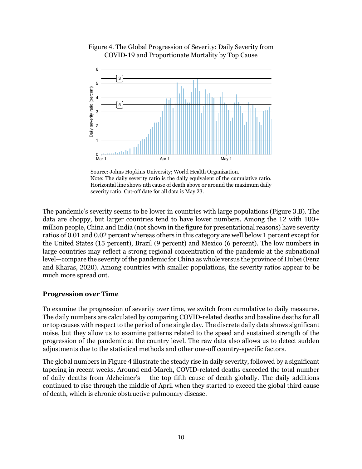

Figure 4. The Global Progression of Severity: Daily Severity from COVID-19 and Proportionate Mortality by Top Cause

Source: Johns Hopkins University; World Health Organization. Note: The daily severity ratio is the daily equivalent of the cumulative ratio. Horizontal line shows nth cause of death above or around the maximum daily severity ratio. Cut-off date for all data is May 23.

The pandemic's severity seems to be lower in countries with large populations (Figure 3.B). The data are choppy, but larger countries tend to have lower numbers. Among the 12 with 100+ million people, China and India (not shown in the figure for presentational reasons) have severity ratios of 0.01 and 0.02 percent whereas others in this category are well below 1 percent except for the United States (15 percent), Brazil (9 percent) and Mexico (6 percent). The low numbers in large countries may reflect a strong regional concentration of the pandemic at the subnational level—compare the severity of the pandemic for China as whole versus the province of Hubei (Fenz and Kharas, 2020). Among countries with smaller populations, the severity ratios appear to be much more spread out.

#### **Progression over Time**

To examine the progression of severity over time, we switch from cumulative to daily measures. The daily numbers are calculated by comparing COVID-related deaths and baseline deaths for all or top causes with respect to the period of one single day. The discrete daily data shows significant noise, but they allow us to examine patterns related to the speed and sustained strength of the progression of the pandemic at the country level. The raw data also allows us to detect sudden adjustments due to the statistical methods and other one-off country-specific factors.

The global numbers in Figure 4 illustrate the steady rise in daily severity, followed by a significant tapering in recent weeks. Around end-March, COVID-related deaths exceeded the total number of daily deaths from Alzheimer's – the top fifth cause of death globally. The daily additions continued to rise through the middle of April when they started to exceed the global third cause of death, which is chronic obstructive pulmonary disease.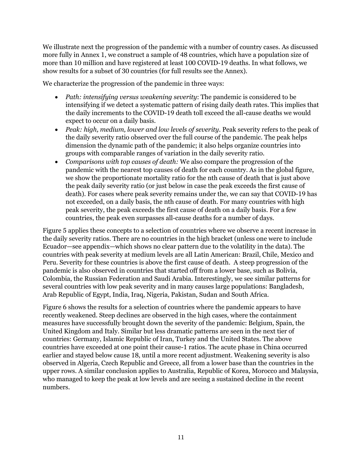We illustrate next the progression of the pandemic with a number of country cases. As discussed more fully in Annex 1, we construct a sample of 48 countries, which have a population size of more than 10 million and have registered at least 100 COVID-19 deaths. In what follows, we show results for a subset of 30 countries (for full results see the Annex).

We characterize the progression of the pandemic in three ways:

- *Path: intensifying versus weakening severity*: The pandemic is considered to be intensifying if we detect a systematic pattern of rising daily death rates. This implies that the daily increments to the COVID-19 death toll exceed the all-cause deaths we would expect to occur on a daily basis.
- *Peak: high, medium, lower and low levels of severity*. Peak severity refers to the peak of the daily severity ratio observed over the full course of the pandemic. The peak helps dimension the dynamic path of the pandemic; it also helps organize countries into groups with comparable ranges of variation in the daily severity ratio.
- *Comparisons with top causes of death:* We also compare the progression of the pandemic with the nearest top causes of death for each country. As in the global figure, we show the proportionate mortality ratio for the nth cause of death that is just above the peak daily severity ratio (or just below in case the peak exceeds the first cause of death). For cases where peak severity remains under the, we can say that COVID-19 has not exceeded, on a daily basis, the nth cause of death. For many countries with high peak severity, the peak exceeds the first cause of death on a daily basis. For a few countries, the peak even surpasses all-cause deaths for a number of days.

Figure 5 applies these concepts to a selection of countries where we observe a recent increase in the daily severity ratios. There are no countries in the high bracket (unless one were to include Ecuador—see appendix—which shows no clear pattern due to the volatility in the data). The countries with peak severity at medium levels are all Latin American: Brazil, Chile, Mexico and Peru. Severity for these countries is above the first cause of death. A steep progression of the pandemic is also observed in countries that started off from a lower base, such as Bolivia, Colombia, the Russian Federation and Saudi Arabia. Interestingly, we see similar patterns for several countries with low peak severity and in many causes large populations: Bangladesh, Arab Republic of Egypt, India, Iraq, Nigeria, Pakistan, Sudan and South Africa.

Figure 6 shows the results for a selection of countries where the pandemic appears to have recently weakened. Steep declines are observed in the high cases, where the containment measures have successfully brought down the severity of the pandemic: Belgium, Spain, the United Kingdom and Italy. Similar but less dramatic patterns are seen in the next tier of countries: Germany, Islamic Republic of Iran, Turkey and the United States. The above countries have exceeded at one point their cause-1 ratios. The acute phase in China occurred earlier and stayed below cause 18, until a more recent adjustment. Weakening severity is also observed in Algeria, Czech Republic and Greece, all from a lower base than the countries in the upper rows. A similar conclusion applies to Australia, Republic of Korea, Morocco and Malaysia, who managed to keep the peak at low levels and are seeing a sustained decline in the recent numbers.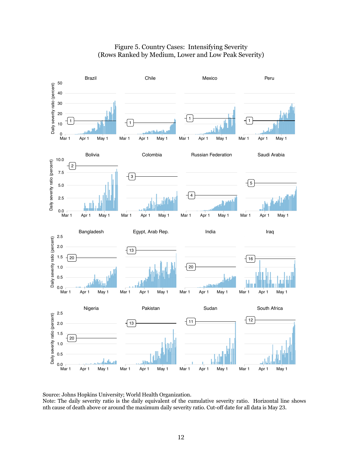

#### Figure 5. Country Cases: Intensifying Severity (Rows Ranked by Medium, Lower and Low Peak Severity)

Source: Johns Hopkins University; World Health Organization.

Note: The daily severity ratio is the daily equivalent of the cumulative severity ratio. Horizontal line shows nth cause of death above or around the maximum daily severity ratio. Cut-off date for all data is May 23.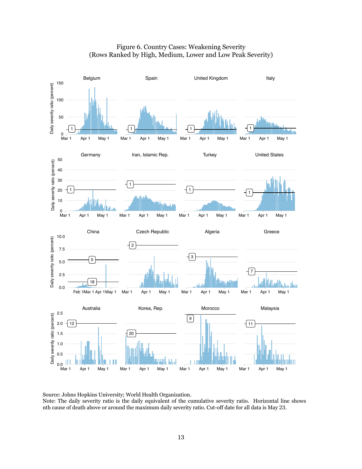

#### Figure 6. Country Cases: Weakening Severity (Rows Ranked by High, Medium, Lower and Low Peak Severity)

Source: Johns Hopkins University; World Health Organization.

Note: The daily severity ratio is the daily equivalent of the cumulative severity ratio. Horizontal line shows nth cause of death above or around the maximum daily severity ratio. Cut-off date for all data is May 23.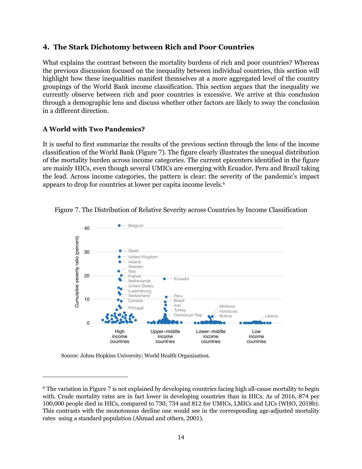#### **4. The Stark Dichotomy between Rich and Poor Countries**

What explains the contrast between the mortality burdens of rich and poor countries? Whereas the previous discussion focused on the inequality between individual countries, this section will highlight how these inequalities manifest themselves at a more aggregated level of the country groupings of the World Bank income classification. This section argues that the inequality we currently observe between rich and poor countries is excessive. We arrive at this conclusion through a demographic lens and discuss whether other factors are likely to sway the conclusion in a different direction.

#### **A World with Two Pandemics?**

It is useful to first summarize the results of the previous section through the lens of the income classification of the World Bank (Figure 7). The figure clearly illustrates the unequal distribution of the mortality burden across income categories. The current epicenters identified in the figure are mainly HICs, even though several UMICs are emerging with Ecuador, Peru and Brazil taking the lead. Across income categories, the pattern is clear: the severity of the pandemic's impact appears to drop for countries at lower per capita income levels. 6



Figure 7. The Distribution of Relative Severity across Countries by Income Classification

Source: Johns Hopkins University; World Health Organization.

<sup>6</sup> The variation in Figure 7 is not explained by developing countries facing high all-cause mortality to begin with. Crude mortality rates are in fact lower in developing countries than in HICs. As of 2016, 874 per 100,000 people died in HICs, compared to 730, 734 and 812 for UMICs, LMICs and LICs (WHO, 2018b). This contrasts with the monotonous decline one would see in the corresponding age-adjusted mortality rates using a standard population (Ahmad and others, 2001).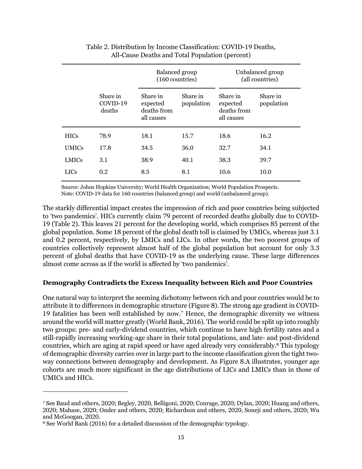|              |                                | Balanced group<br>(160 countries)                 |                        | Unbalanced group<br>(all countries)               |                        |
|--------------|--------------------------------|---------------------------------------------------|------------------------|---------------------------------------------------|------------------------|
|              | Share in<br>COVID-19<br>deaths | Share in<br>expected<br>deaths from<br>all causes | Share in<br>population | Share in<br>expected<br>deaths from<br>all causes | Share in<br>population |
| <b>HICs</b>  | 78.9                           | 18.1                                              | 15.7                   | 18.6                                              | 16.2                   |
| <b>UMICs</b> | 17.8                           | 34.5                                              | 36.0                   | 32.7                                              | 34.1                   |
| <b>LMICs</b> | 3.1                            | 38.9                                              | 40.1                   | 38.3                                              | 39.7                   |
| <b>LICs</b>  | 0.2                            | 8.5                                               | 8.1                    | 10.6                                              | 10.0                   |

#### Table 2. Distribution by Income Classification: COVID-19 Deaths, All-Cause Deaths and Total Population (percent)

Source: Johns Hopkins University; World Health Organization; World Population Prospects. Note: COVID-19 data for 160 countries (balanced group) and world (unbalanced group).

The starkly differential impact creates the impression of rich and poor countries being subjected to 'two pandemics'. HICs currently claim 79 percent of recorded deaths globally due to COVID-19 (Table 2). This leaves 21 percent for the developing world, which comprises 85 percent of the global population. Some 18 percent of the global death toll is claimed by UMICs, whereas just 3.1 and 0.2 percent, respectively, by LMICs and LICs. In other words, the two poorest groups of countries collectively represent almost half of the global population but account for only 3.3 percent of global deaths that have COVID-19 as the underlying cause. These large differences almost come across as if the world is affected by 'two pandemics'.

#### **Demography Contradicts the Excess Inequality between Rich and Poor Countries**

One natural way to interpret the seeming dichotomy between rich and poor countries would be to attribute it to differences in demographic structure (Figure 8). The strong age gradient in COVID-19 fatalities has been well established by now. <sup>7</sup> Hence, the demographic diversity we witness around the world will matter greatly (World Bank, 2016). The world could be split up into roughly two groups: pre- and early-dividend countries, which continue to have high fertility rates and a still-rapidly increasing working-age share in their total populations, and late- and post-dividend countries, which are aging at rapid speed or have aged already very considerably.8 This typology of demographic diversity carries over in large part to the income classification given the tight twoway connections between demography and development. As Figure 8.A illustrates, younger age cohorts are much more significant in the age distributions of LICs and LMICs than in those of UMICs and HICs.

<sup>7</sup> See Baud and others, 2020; Begley, 2020, Belligoni, 2020; Courage, 2020; Dylan, 2020; Huang and others, 2020; Mahase, 2020; Onder and others, 2020; Richardson and others, 2020, Soneji and others, 2020; Wu and McGoogan, 2020.

<sup>8</sup> See World Bank (2016) for a detailed discussion of the demographic typology.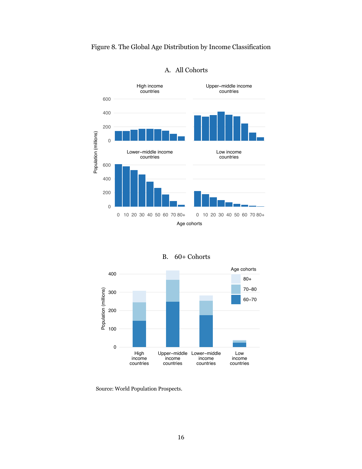#### Figure 8. The Global Age Distribution by Income Classification



#### A. All Cohorts

| B. | 60+ Cohorts |
|----|-------------|
|    |             |



Source: World Population Prospects.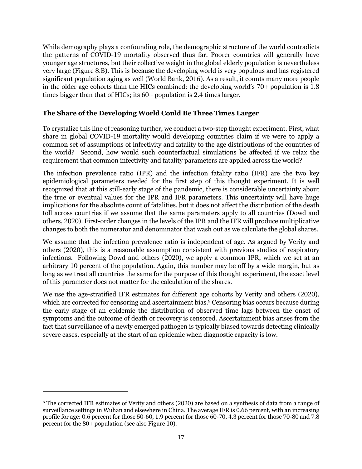While demography plays a confounding role, the demographic structure of the world contradicts the patterns of COVID-19 mortality observed thus far. Poorer countries will generally have younger age structures, but their collective weight in the global elderly population is nevertheless very large (Figure 8.B). This is because the developing world is very populous and has registered significant population aging as well (World Bank, 2016). As a result, it counts many more people in the older age cohorts than the HICs combined: the developing world's 70+ population is 1.8 times bigger than that of HICs; its 60+ population is 2.4 times larger.

#### **The Share of the Developing World Could Be Three Times Larger**

To crystalize this line of reasoning further, we conduct a two-step thought experiment. First, what share in global COVID-19 mortality would developing countries claim if we were to apply a common set of assumptions of infectivity and fatality to the age distributions of the countries of the world? Second, how would such counterfactual simulations be affected if we relax the requirement that common infectivity and fatality parameters are applied across the world?

The infection prevalence ratio (IPR) and the infection fatality ratio (IFR) are the two key epidemiological parameters needed for the first step of this thought experiment. It is well recognized that at this still-early stage of the pandemic, there is considerable uncertainty about the true or eventual values for the IPR and IFR parameters. This uncertainty will have huge implications for the absolute count of fatalities, but it does not affect the distribution of the death toll across countries if we assume that the same parameters apply to all countries (Dowd and others, 2020). First-order changes in the levels of the IPR and the IFR will produce multiplicative changes to both the numerator and denominator that wash out as we calculate the global shares.

We assume that the infection prevalence ratio is independent of age. As argued by Verity and others (2020), this is a reasonable assumption consistent with previous studies of respiratory infections. Following Dowd and others (2020), we apply a common IPR, which we set at an arbitrary 10 percent of the population. Again, this number may be off by a wide margin, but as long as we treat all countries the same for the purpose of this thought experiment, the exact level of this parameter does not matter for the calculation of the shares.

We use the age-stratified IFR estimates for different age cohorts by Verity and others (2020), which are corrected for censoring and ascertainment bias.<sup>9</sup> Censoring bias occurs because during the early stage of an epidemic the distribution of observed time lags between the onset of symptoms and the outcome of death or recovery is censored. Ascertainment bias arises from the fact that surveillance of a newly emerged pathogen is typically biased towards detecting clinically severe cases, especially at the start of an epidemic when diagnostic capacity is low.

<sup>9</sup> The corrected IFR estimates of Verity and others (2020) are based on a synthesis of data from a range of surveillance settings in Wuhan and elsewhere in China. The average IFR is 0.66 percent, with an increasing profile for age: 0.6 percent for those 50-60, 1.9 percent for those 60-70, 4.3 percent for those 70-80 and 7.8 percent for the 80+ population (see also Figure 10).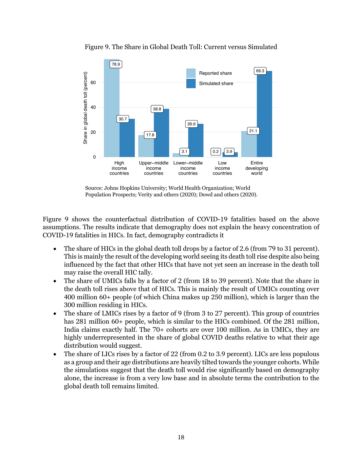

Figure 9. The Share in Global Death Toll: Current versus Simulated

Source: Johns Hopkins University; World Health Organization; World Population Prospects; Verity and others (2020); Dowd and others (2020).

Figure 9 shows the counterfactual distribution of COVID-19 fatalities based on the above assumptions. The results indicate that demography does not explain the heavy concentration of COVID-19 fatalities in HICs. In fact, demography contradicts it

- The share of HICs in the global death toll drops by a factor of 2.6 (from 79 to 31 percent). This is mainly the result of the developing world seeing its death toll rise despite also being influenced by the fact that other HICs that have not yet seen an increase in the death toll may raise the overall HIC tally.
- The share of UMICs falls by a factor of 2 (from 18 to 39 percent). Note that the share in the death toll rises above that of HICs. This is mainly the result of UMICs counting over 400 million 60+ people (of which China makes up 250 million), which is larger than the 300 million residing in HICs.
- The share of LMICs rises by a factor of 9 (from 3 to 27 percent). This group of countries has 281 million 60+ people, which is similar to the HICs combined. Of the 281 million, India claims exactly half. The 70+ cohorts are over 100 million. As in UMICs, they are highly underrepresented in the share of global COVID deaths relative to what their age distribution would suggest.
- The share of LICs rises by a factor of 22 (from 0.2 to 3.9 percent). LICs are less populous as a group and their age distributions are heavily tilted towards the younger cohorts. While the simulations suggest that the death toll would rise significantly based on demography alone, the increase is from a very low base and in absolute terms the contribution to the global death toll remains limited.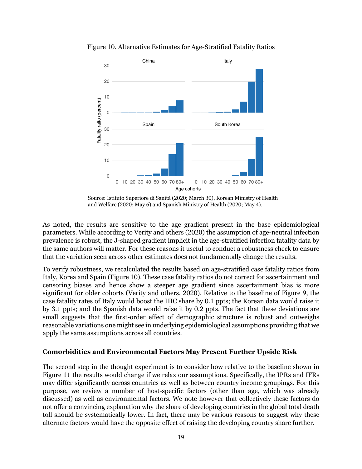

Figure 10. Alternative Estimates for Age-Stratified Fatality Ratios

Source: Istituto Superiore di Sanità (2020; March 30), Korean Ministry of Health and Welfare (2020; May 6) and Spanish Ministry of Health (2020; May 4).

As noted, the results are sensitive to the age gradient present in the base epidemiological parameters. While according to Verity and others (2020) the assumption of age-neutral infection prevalence is robust, the J-shaped gradient implicit in the age-stratified infection fatality data by the same authors will matter. For these reasons it useful to conduct a robustness check to ensure that the variation seen across other estimates does not fundamentally change the results.

To verify robustness, we recalculated the results based on age-stratified case fatality ratios from Italy, Korea and Spain (Figure 10). These case fatality ratios do not correct for ascertainment and censoring biases and hence show a steeper age gradient since ascertainment bias is more significant for older cohorts (Verity and others, 2020). Relative to the baseline of Figure 9, the case fatality rates of Italy would boost the HIC share by 0.1 ppts; the Korean data would raise it by 3.1 ppts; and the Spanish data would raise it by 0.2 ppts. The fact that these deviations are small suggests that the first-order effect of demographic structure is robust and outweighs reasonable variations one might see in underlying epidemiological assumptions providing that we apply the same assumptions across all countries.

#### **Comorbidities and Environmental Factors May Present Further Upside Risk**

The second step in the thought experiment is to consider how relative to the baseline shown in Figure 11 the results would change if we relax our assumptions. Specifically, the IPRs and IFRs may differ significantly across countries as well as between country income groupings. For this purpose, we review a number of host-specific factors (other than age, which was already discussed) as well as environmental factors. We note however that collectively these factors do not offer a convincing explanation why the share of developing countries in the global total death toll should be systematically lower. In fact, there may be various reasons to suggest why these alternate factors would have the opposite effect of raising the developing country share further.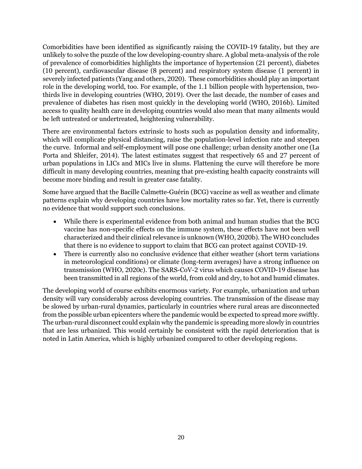Comorbidities have been identified as significantly raising the COVID-19 fatality, but they are unlikely to solve the puzzle of the low developing-country share. A global meta-analysis of the role of prevalence of comorbidities highlights the importance of hypertension (21 percent), diabetes (10 percent), cardiovascular disease (8 percent) and respiratory system disease (1 percent) in severely infected patients (Yang and others, 2020). These comorbidities should play an important role in the developing world, too. For example, of the 1.1 billion people with hypertension, twothirds live in developing countries (WHO, 2019). Over the last decade, the number of cases and prevalence of diabetes has risen most quickly in the developing world (WHO, 2016b). Limited access to quality health care in developing countries would also mean that many ailments would be left untreated or undertreated, heightening vulnerability.

There are environmental factors extrinsic to hosts such as population density and informality, which will complicate physical distancing, raise the population-level infection rate and steepen the curve. Informal and self-employment will pose one challenge; urban density another one (La Porta and Shleifer, 2014). The latest estimates suggest that respectively 65 and 27 percent of urban populations in LICs and MICs live in slums. Flattening the curve will therefore be more difficult in many developing countries, meaning that pre-existing health capacity constraints will become more binding and result in greater case fatality.

Some have argued that the Bacille Calmette-Guérin (BCG) vaccine as well as weather and climate patterns explain why developing countries have low mortality rates so far. Yet, there is currently no evidence that would support such conclusions.

- While there is experimental evidence from both animal and human studies that the BCG vaccine has non-specific effects on the immune system, these effects have not been well characterized and their clinical relevance is unknown (WHO, 2020b). The WHO concludes that there is no evidence to support to claim that BCG can protect against COVID-19.
- There is currently also no conclusive evidence that either weather (short term variations in meteorological conditions) or climate (long-term averages) have a strong influence on transmission (WHO, 2020c). The SARS-CoV-2 virus which causes COVID-19 disease has been transmitted in all regions of the world, from cold and dry, to hot and humid climates.

The developing world of course exhibits enormous variety. For example, urbanization and urban density will vary considerably across developing countries. The transmission of the disease may be slowed by urban-rural dynamics, particularly in countries where rural areas are disconnected from the possible urban epicenters where the pandemic would be expected to spread more swiftly. The urban-rural disconnect could explain why the pandemic is spreading more slowly in countries that are less urbanized. This would certainly be consistent with the rapid deterioration that is noted in Latin America, which is highly urbanized compared to other developing regions.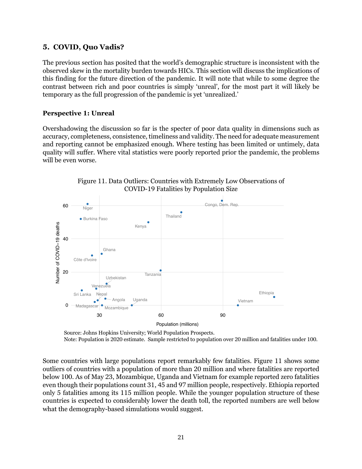#### **5. COVID, Quo Vadis?**

The previous section has posited that the world's demographic structure is inconsistent with the observed skew in the mortality burden towards HICs. This section will discuss the implications of this finding for the future direction of the pandemic. It will note that while to some degree the contrast between rich and poor countries is simply 'unreal', for the most part it will likely be temporary as the full progression of the pandemic is yet 'unrealized.'

#### **Perspective 1: Unreal**

Overshadowing the discussion so far is the specter of poor data quality in dimensions such as accuracy, completeness, consistence, timeliness and validity. The need for adequate measurement and reporting cannot be emphasized enough. Where testing has been limited or untimely, data quality will suffer. Where vital statistics were poorly reported prior the pandemic, the problems will be even worse.





 Source: Johns Hopkins University; World Population Prospects. Note: Population is 2020 estimate. Sample restricted to population over 20 million and fatalities under 100.

Some countries with large populations report remarkably few fatalities. Figure 11 shows some outliers of countries with a population of more than 20 million and where fatalities are reported below 100. As of May 23, Mozambique, Uganda and Vietnam for example reported zero fatalities even though their populations count 31, 45 and 97 million people, respectively. Ethiopia reported only 5 fatalities among its 115 million people. While the younger population structure of these countries is expected to considerably lower the death toll, the reported numbers are well below what the demography-based simulations would suggest.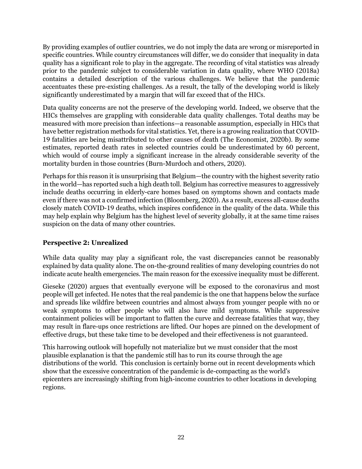By providing examples of outlier countries, we do not imply the data are wrong or misreported in specific countries. While country circumstances will differ, we do consider that inequality in data quality has a significant role to play in the aggregate. The recording of vital statistics was already prior to the pandemic subject to considerable variation in data quality, where WHO (2018a) contains a detailed description of the various challenges. We believe that the pandemic accentuates these pre-existing challenges. As a result, the tally of the developing world is likely significantly underestimated by a margin that will far exceed that of the HICs.

Data quality concerns are not the preserve of the developing world. Indeed, we observe that the HICs themselves are grappling with considerable data quality challenges. Total deaths may be measured with more precision than infections—a reasonable assumption, especially in HICs that have better registration methods for vital statistics. Yet, there is a growing realization that COVID-19 fatalities are being misattributed to other causes of death (The Economist, 2020b). By some estimates, reported death rates in selected countries could be underestimated by 60 percent, which would of course imply a significant increase in the already considerable severity of the mortality burden in those countries (Burn-Murdoch and others, 2020).

Perhaps for this reason it is unsurprising that Belgium—the country with the highest severity ratio in the world—has reported such a high death toll. Belgium has corrective measures to aggressively include deaths occurring in elderly-care homes based on symptoms shown and contacts made even if there was not a confirmed infection (Bloomberg, 2020). As a result, excess all-cause deaths closely match COVID-19 deaths, which inspires confidence in the quality of the data. While this may help explain why Belgium has the highest level of severity globally, it at the same time raises suspicion on the data of many other countries.

#### **Perspective 2: Unrealized**

While data quality may play a significant role, the vast discrepancies cannot be reasonably explained by data quality alone. The on-the-ground realities of many developing countries do not indicate acute health emergencies. The main reason for the excessive inequality must be different.

Gieseke (2020) argues that eventually everyone will be exposed to the coronavirus and most people will get infected. He notes that the real pandemic is the one that happens below the surface and spreads like wildfire between countries and almost always from younger people with no or weak symptoms to other people who will also have mild symptoms. While suppressive containment policies will be important to flatten the curve and decrease fatalities that way, they may result in flare-ups once restrictions are lifted. Our hopes are pinned on the development of effective drugs, but these take time to be developed and their effectiveness is not guaranteed.

This harrowing outlook will hopefully not materialize but we must consider that the most plausible explanation is that the pandemic still has to run its course through the age distributions of the world. This conclusion is certainly borne out in recent developments which show that the excessive concentration of the pandemic is de-compacting as the world's epicenters are increasingly shifting from high-income countries to other locations in developing regions.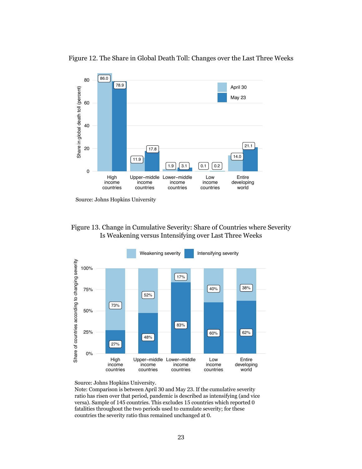

Figure 12. The Share in Global Death Toll: Changes over the Last Three Weeks

Source: Johns Hopkins University







Note: Comparison is between April 30 and May 23. If the cumulative severity ratio has risen over that period, pandemic is described as intensifying (and vice versa). Sample of 145 countries. This excludes 15 countries which reported 0 fatalities throughout the two periods used to cumulate severity; for these countries the severity ratio thus remained unchanged at 0.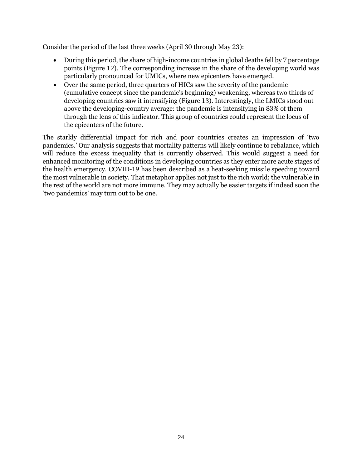Consider the period of the last three weeks (April 30 through May 23):

- During this period, the share of high-income countries in global deaths fell by 7 percentage points (Figure 12). The corresponding increase in the share of the developing world was particularly pronounced for UMICs, where new epicenters have emerged.
- Over the same period, three quarters of HICs saw the severity of the pandemic (cumulative concept since the pandemic's beginning) weakening, whereas two thirds of developing countries saw it intensifying (Figure 13). Interestingly, the LMICs stood out above the developing-country average: the pandemic is intensifying in 83% of them through the lens of this indicator. This group of countries could represent the locus of the epicenters of the future.

The starkly differential impact for rich and poor countries creates an impression of 'two pandemics.' Our analysis suggests that mortality patterns will likely continue to rebalance, which will reduce the excess inequality that is currently observed. This would suggest a need for enhanced monitoring of the conditions in developing countries as they enter more acute stages of the health emergency. COVID-19 has been described as a heat-seeking missile speeding toward the most vulnerable in society. That metaphor applies not just to the rich world; the vulnerable in the rest of the world are not more immune. They may actually be easier targets if indeed soon the 'two pandemics' may turn out to be one.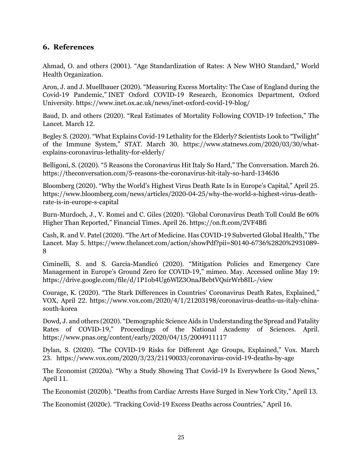#### **6. References**

Ahmad, O. and others (2001). "Age Standardization of Rates: A New WHO Standard," World Health Organization.

Aron, J. and J. Muellbauer (2020). "Measuring Excess Mortality: The Case of England during the Covid-19 Pandemic," INET Oxford COVID-19 Research, Economics Department, Oxford University. https://www.inet.ox.ac.uk/news/inet-oxford-covid-19-blog/

Baud, D. and others (2020). "Real Estimates of Mortality Following COVID-19 Infection," The Lancet. March 12.

Begley S. (2020). "What Explains Covid-19 Lethality for the Elderly? Scientists Look to "Twilight" of the Immune System," STAT. March 30. https://www.statnews.com/2020/03/30/whatexplains-coronavirus-lethality-for-elderly/

Belligoni, S. (2020). "5 Reasons the Coronavirus Hit Italy So Hard," The Conversation. March 26. https://theconversation.com/5-reasons-the-coronavirus-hit-italy-so-hard-134636

Bloomberg (2020). "Why the World's Highest Virus Death Rate Is in Europe's Capital," April 25. https://www.bloomberg.com/news/articles/2020-04-25/why-the-world-s-highest-virus-deathrate-is-in-europe-s-capital

Burn-Murdoch, J., V. Romei and C. Giles (2020). "Global Coronavirus Death Toll Could Be 60% Higher Than Reported," Financial Times. April 26. https://on.ft.com/2VF4Bfi

Cash, R. and V. Patel (2020). "The Art of Medicine. Has COVID-19 Subverted Global Health," The Lancet. May 5. https://www.thelancet.com/action/showPdf?pii=S0140-6736%2820%2931089- 8

Ciminelli, S. and S. Garcia-Mandicó (2020). "Mitigation Policies and Emergency Care Management in Europe's Ground Zero for COVID-19," mimeo. May. Accessed online May 19: https://drive.google.com/file/d/1P1ob4Ug6WlZ3OnaJBebtVQsirWrb8IL-/view

Courage, K. (2020). "The Stark Differences in Countries' Coronavirus Death Rates, Explained," VOX, April 22. https://www.vox.com/2020/4/1/21203198/coronavirus-deaths-us-italy-chinasouth-korea

Dowd, J. and others (2020). "Demographic Science Aids in Understanding the Spread and Fatality Rates of COVID-19," Proceedings of the National Academy of Sciences. April. https://www.pnas.org/content/early/2020/04/15/2004911117

Dylan, S. (2020). "The COVID-19 Risks for Different Age Groups, Explained," Vox. March 23. https://www.vox.com/2020/3/23/21190033/coronavirus-covid-19-deaths-by-age

The Economist (2020a). "Why a Study Showing That Covid-19 Is Everywhere Is Good News," April 11.

The Economist (2020b). "Deaths from Cardiac Arrests Have Surged in New York City," April 13.

The Economist (2020c). "Tracking Covid-19 Excess Deaths across Countries," April 16.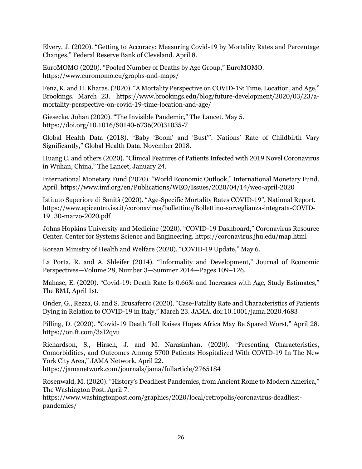Elvery, J. (2020). "Getting to Accuracy: Measuring Covid-19 by Mortality Rates and Percentage Changes," Federal Reserve Bank of Cleveland. April 8.

EuroMOMO (2020). "Pooled Number of Deaths by Age Group," EuroMOMO. https://www.euromomo.eu/graphs-and-maps/

Fenz, K. and H. Kharas. (2020). "A Mortality Perspective on COVID-19: Time, Location, and Age," Brookings. March 23. https://www.brookings.edu/blog/future-development/2020/03/23/amortality-perspective-on-covid-19-time-location-and-age/

Giesecke, Johan (2020). "The Invisible Pandemic," The Lancet. May 5. https://doi.org/10.1016/S0140-6736(20)31035-7

Global Health Data (2018). "Baby 'Boom' and 'Bust'": Nations' Rate of Childbirth Vary Significantly," Global Health Data. November 2018.

Huang C. and others (2020). "Clinical Features of Patients Infected with 2019 Novel Coronavirus in Wuhan, China," The Lancet, January 24.

International Monetary Fund (2020). "World Economic Outlook," International Monetary Fund. April. https://www.imf.org/en/Publications/WEO/Issues/2020/04/14/weo-april-2020

Istituto Superiore di Sanità (2020). "Age-Specific Mortality Rates COVID-19", National Report. https://www.epicentro.iss.it/coronavirus/bollettino/Bollettino-sorveglianza-integrata-COVID-19\_30-marzo-2020.pdf

Johns Hopkins University and Medicine (2020). "COVID-19 Dashboard," Coronavirus Resource Center. Center for Systems Science and Engineering. https://coronavirus.jhu.edu/map.html

Korean Ministry of Health and Welfare (2020). "COVID-19 Update," May 6.

La Porta, R. and A. Shleifer (2014). "Informality and Development," Journal of Economic Perspectives—Volume 28, Number 3—Summer 2014—Pages 109–126.

Mahase, E. (2020). "Covid-19: Death Rate Is 0.66% and Increases with Age, Study Estimates," The BMJ, April 1st.

Onder, G., Rezza, G. and S. Brusaferro (2020). "Case-Fatality Rate and Characteristics of Patients Dying in Relation to COVID-19 in Italy," March 23. JAMA. doi:10.1001/jama.2020.4683

Pilling, D. (2020). "Covid-19 Death Toll Raises Hopes Africa May Be Spared Worst," April 28. https://on.ft.com/3aI2qvu

Richardson, S., Hirsch, J. and M. Narasimhan. (2020). "Presenting Characteristics, Comorbidities, and Outcomes Among 5700 Patients Hospitalized With COVID-19 In The New York City Area," JAMA Network. April 22.

https://jamanetwork.com/journals/jama/fullarticle/2765184

Rosenwald, M. (2020). "History's Deadliest Pandemics, from Ancient Rome to Modern America," The Washington Post. April 7.

https://www.washingtonpost.com/graphics/2020/local/retropolis/coronavirus-deadliestpandemics/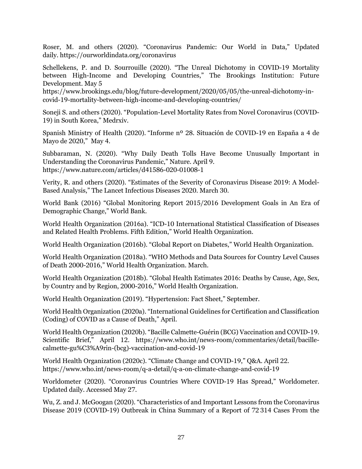Roser, M. and others (2020). "Coronavirus Pandemic: Our World in Data," Updated daily. https://ourworldindata.org/coronavirus

Schellekens, P. and D. Sourrouille (2020). "The Unreal Dichotomy in COVID-19 Mortality between High-Income and Developing Countries," The Brookings Institution: Future Development. May 5

https://www.brookings.edu/blog/future-development/2020/05/05/the-unreal-dichotomy-incovid-19-mortality-between-high-income-and-developing-countries/

Soneji S. and others (2020). "Population-Level Mortality Rates from Novel Coronavirus (COVID-19) in South Korea," Medrxiv.

Spanish Ministry of Health (2020). "Informe nº 28. Situación de COVID-19 en España a 4 de Mayo de 2020," May 4.

Subbaraman, N. (2020). "Why Daily Death Tolls Have Become Unusually Important in Understanding the Coronavirus Pandemic," Nature. April 9. https://www.nature.com/articles/d41586-020-01008-1

Verity, R. and others (2020). "Estimates of the Severity of Coronavirus Disease 2019: A Model-Based Analysis," The Lancet Infectious Diseases 2020. March 30.

World Bank (2016) "Global Monitoring Report 2015/2016 Development Goals in An Era of Demographic Change," World Bank.

World Health Organization (2016a). "ICD-10 International Statistical Classification of Diseases and Related Health Problems. Fifth Edition," World Health Organization.

World Health Organization (2016b). "Global Report on Diabetes," World Health Organization.

World Health Organization (2018a). "WHO Methods and Data Sources for Country Level Causes of Death 2000-2016," World Health Organization. March.

World Health Organization (2018b). "Global Health Estimates 2016: Deaths by Cause, Age, Sex, by Country and by Region, 2000-2016," World Health Organization.

World Health Organization (2019). "Hypertension: Fact Sheet," September.

World Health Organization (2020a). "International Guidelines for Certification and Classification (Coding) of COVID as a Cause of Death," April.

World Health Organization (2020b). "Bacille Calmette-Guérin (BCG) Vaccination and COVID-19. Scientific Brief," April 12. https://www.who.int/news-room/commentaries/detail/bacillecalmette-gu%C3%A9rin-(bcg)-vaccination-and-covid-19

World Health Organization (2020c). "Climate Change and COVID-19," Q&A. April 22. https://www.who.int/news-room/q-a-detail/q-a-on-climate-change-and-covid-19

Worldometer (2020). "Coronavirus Countries Where COVID-19 Has Spread," Worldometer. Updated daily. Accessed May 27.

Wu, Z. and J. McGoogan (2020). "Characteristics of and Important Lessons from the Coronavirus Disease 2019 (COVID-19) Outbreak in China Summary of a Report of 72 314 Cases From the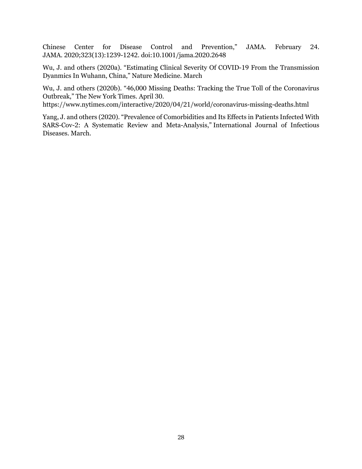Chinese Center for Disease Control and Prevention," JAMA. February 24. JAMA. 2020;323(13):1239-1242. doi:10.1001/jama.2020.2648

Wu, J. and others (2020a). "Estimating Clinical Severity Of COVID-19 From the Transmission Dyanmics In Wuhann, China," Nature Medicine. March

Wu, J. and others (2020b). "46,000 Missing Deaths: Tracking the True Toll of the Coronavirus Outbreak," The New York Times. April 30.

https://www.nytimes.com/interactive/2020/04/21/world/coronavirus-missing-deaths.html

Yang, J. and others (2020). "Prevalence of Comorbidities and Its Effects in Patients Infected With SARS-Cov-2: A Systematic Review and Meta-Analysis," International Journal of Infectious Diseases. March.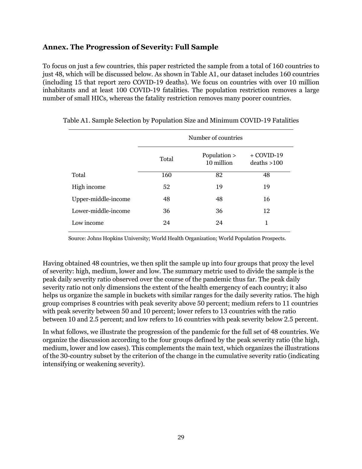#### **Annex. The Progression of Severity: Full Sample**

To focus on just a few countries, this paper restricted the sample from a total of 160 countries to just 48, which will be discussed below. As shown in Table A1, our dataset includes 160 countries (including 15 that report zero COVID-19 deaths). We focus on countries with over 10 million inhabitants and at least 100 COVID-19 fatalities. The population restriction removes a large number of small HICs, whereas the fatality restriction removes many poorer countries.

|                     |       | Number of countries        |                              |
|---------------------|-------|----------------------------|------------------------------|
|                     | Total | Population ><br>10 million | $+$ COVID-19<br>deaths > 100 |
| Total               | 160   | 82                         | 48                           |
| High income         | 52    | 19                         | 19                           |
| Upper-middle-income | 48    | 48                         | 16                           |
| Lower-middle-income | 36    | 36                         | 12                           |
| Low income          | 24    | 24                         | 1                            |

Table A1. Sample Selection by Population Size and Minimum COVID-19 Fatalities

Source: Johns Hopkins University; World Health Organization; World Population Prospects.

Having obtained 48 countries, we then split the sample up into four groups that proxy the level of severity: high, medium, lower and low. The summary metric used to divide the sample is the peak daily severity ratio observed over the course of the pandemic thus far. The peak daily severity ratio not only dimensions the extent of the health emergency of each country; it also helps us organize the sample in buckets with similar ranges for the daily severity ratios. The high group comprises 8 countries with peak severity above 50 percent; medium refers to 11 countries with peak severity between 50 and 10 percent; lower refers to 13 countries with the ratio between 10 and 2.5 percent; and low refers to 16 countries with peak severity below 2.5 percent.

In what follows, we illustrate the progression of the pandemic for the full set of 48 countries. We organize the discussion according to the four groups defined by the peak severity ratio (the high, medium, lower and low cases). This complements the main text, which organizes the illustrations of the 30-country subset by the criterion of the change in the cumulative severity ratio (indicating intensifying or weakening severity).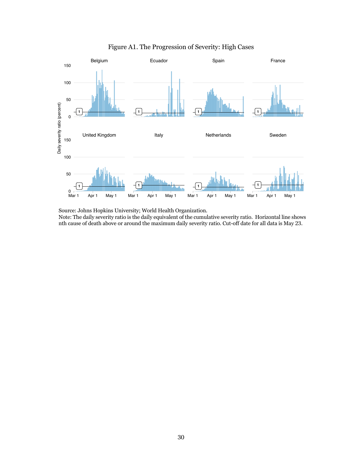

Figure A1. The Progression of Severity: High Cases

Source: Johns Hopkins University; World Health Organization. Note: The daily severity ratio is the daily equivalent of the cumulative severity ratio. Horizontal line shows

nth cause of death above or around the maximum daily severity ratio. Cut-off date for all data is May 23.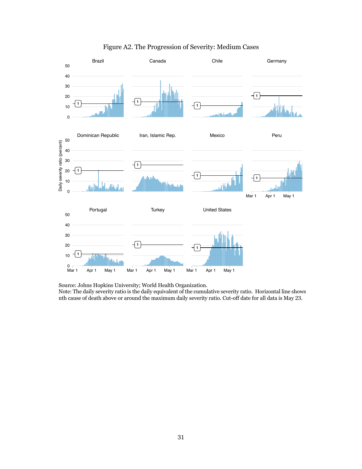

#### Figure A2. The Progression of Severity: Medium Cases

Source: Johns Hopkins University; World Health Organization.

Note: The daily severity ratio is the daily equivalent of the cumulative severity ratio. Horizontal line shows nth cause of death above or around the maximum daily severity ratio. Cut-off date for all data is May 23.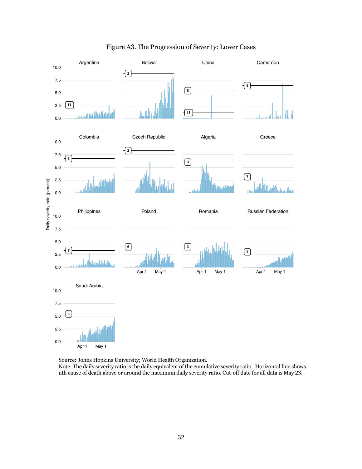

#### Figure A3. The Progression of Severity: Lower Cases

Source: Johns Hopkins University; World Health Organization.

Note: The daily severity ratio is the daily equivalent of the cumulative severity ratio. Horizontal line shows nth cause of death above or around the maximum daily severity ratio. Cut-off date for all data is May 23.